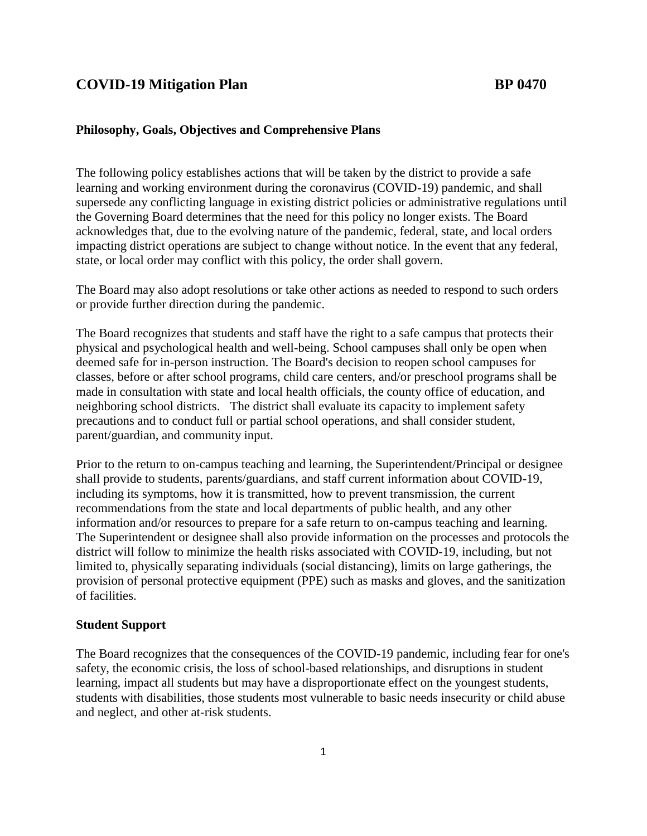# **COVID-19 Mitigation Plan BP 0470**

# **Philosophy, Goals, Objectives and Comprehensive Plans**

The following policy establishes actions that will be taken by the district to provide a safe learning and working environment during the coronavirus (COVID-19) pandemic, and shall supersede any conflicting language in existing district policies or administrative regulations until the Governing Board determines that the need for this policy no longer exists. The Board acknowledges that, due to the evolving nature of the pandemic, federal, state, and local orders impacting district operations are subject to change without notice. In the event that any federal, state, or local order may conflict with this policy, the order shall govern.

The Board may also adopt resolutions or take other actions as needed to respond to such orders or provide further direction during the pandemic.

The Board recognizes that students and staff have the right to a safe campus that protects their physical and psychological health and well-being. School campuses shall only be open when deemed safe for in-person instruction. The Board's decision to reopen school campuses for classes, before or after school programs, child care centers, and/or preschool programs shall be made in consultation with state and local health officials, the county office of education, and neighboring school districts. The district shall evaluate its capacity to implement safety precautions and to conduct full or partial school operations, and shall consider student, parent/guardian, and community input.

Prior to the return to on-campus teaching and learning, the Superintendent/Principal or designee shall provide to students, parents/guardians, and staff current information about COVID-19, including its symptoms, how it is transmitted, how to prevent transmission, the current recommendations from the state and local departments of public health, and any other information and/or resources to prepare for a safe return to on-campus teaching and learning. The Superintendent or designee shall also provide information on the processes and protocols the district will follow to minimize the health risks associated with COVID-19, including, but not limited to, physically separating individuals (social distancing), limits on large gatherings, the provision of personal protective equipment (PPE) such as masks and gloves, and the sanitization of facilities.

#### **Student Support**

The Board recognizes that the consequences of the COVID-19 pandemic, including fear for one's safety, the economic crisis, the loss of school-based relationships, and disruptions in student learning, impact all students but may have a disproportionate effect on the youngest students, students with disabilities, those students most vulnerable to basic needs insecurity or child abuse and neglect, and other at-risk students.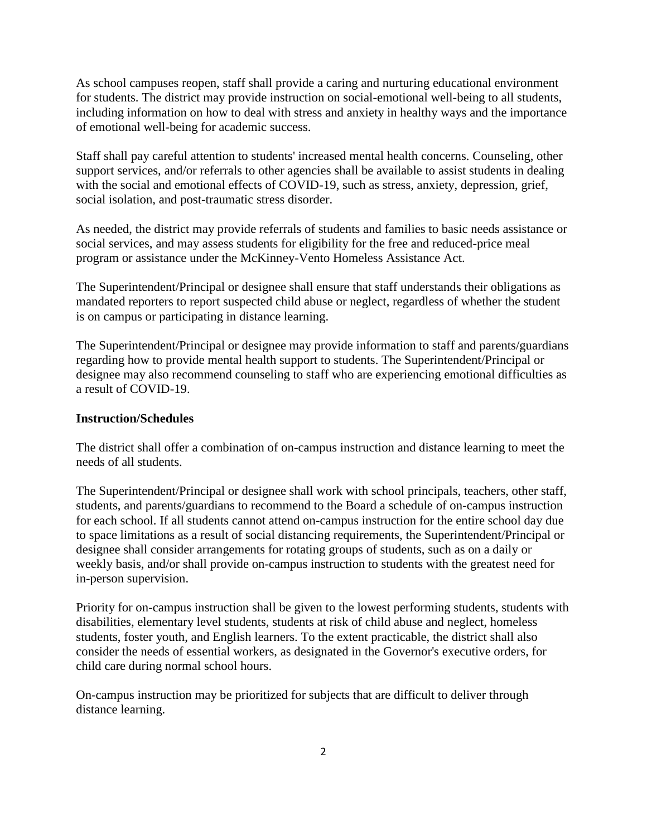As school campuses reopen, staff shall provide a caring and nurturing educational environment for students. The district may provide instruction on social-emotional well-being to all students, including information on how to deal with stress and anxiety in healthy ways and the importance of emotional well-being for academic success.

Staff shall pay careful attention to students' increased mental health concerns. Counseling, other support services, and/or referrals to other agencies shall be available to assist students in dealing with the social and emotional effects of COVID-19, such as stress, anxiety, depression, grief, social isolation, and post-traumatic stress disorder.

As needed, the district may provide referrals of students and families to basic needs assistance or social services, and may assess students for eligibility for the free and reduced-price meal program or assistance under the McKinney-Vento Homeless Assistance Act.

The Superintendent/Principal or designee shall ensure that staff understands their obligations as mandated reporters to report suspected child abuse or neglect, regardless of whether the student is on campus or participating in distance learning.

The Superintendent/Principal or designee may provide information to staff and parents/guardians regarding how to provide mental health support to students. The Superintendent/Principal or designee may also recommend counseling to staff who are experiencing emotional difficulties as a result of COVID-19.

### **Instruction/Schedules**

The district shall offer a combination of on-campus instruction and distance learning to meet the needs of all students.

The Superintendent/Principal or designee shall work with school principals, teachers, other staff, students, and parents/guardians to recommend to the Board a schedule of on-campus instruction for each school. If all students cannot attend on-campus instruction for the entire school day due to space limitations as a result of social distancing requirements, the Superintendent/Principal or designee shall consider arrangements for rotating groups of students, such as on a daily or weekly basis, and/or shall provide on-campus instruction to students with the greatest need for in-person supervision.

Priority for on-campus instruction shall be given to the lowest performing students, students with disabilities, elementary level students, students at risk of child abuse and neglect, homeless students, foster youth, and English learners. To the extent practicable, the district shall also consider the needs of essential workers, as designated in the Governor's executive orders, for child care during normal school hours.

On-campus instruction may be prioritized for subjects that are difficult to deliver through distance learning.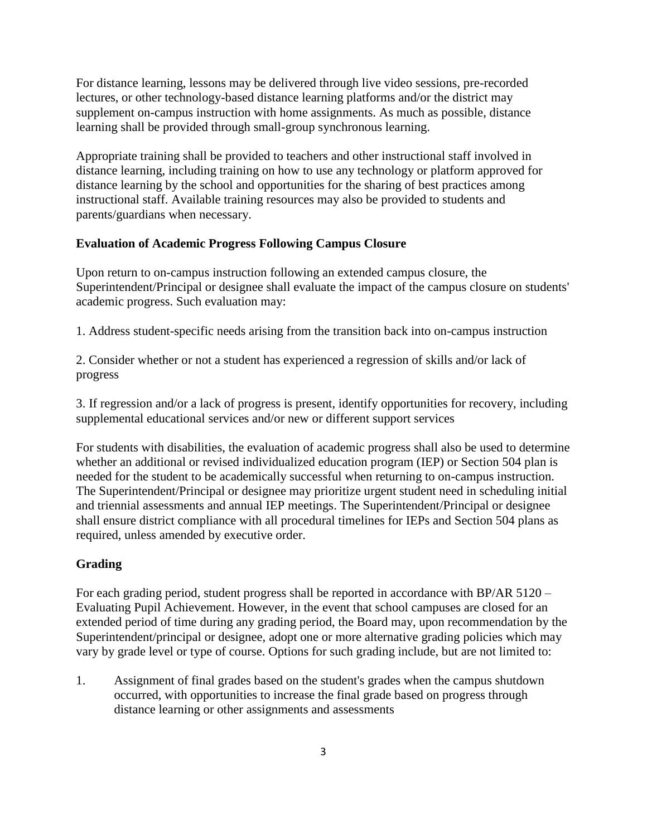For distance learning, lessons may be delivered through live video sessions, pre-recorded lectures, or other technology-based distance learning platforms and/or the district may supplement on-campus instruction with home assignments. As much as possible, distance learning shall be provided through small-group synchronous learning.

Appropriate training shall be provided to teachers and other instructional staff involved in distance learning, including training on how to use any technology or platform approved for distance learning by the school and opportunities for the sharing of best practices among instructional staff. Available training resources may also be provided to students and parents/guardians when necessary.

# **Evaluation of Academic Progress Following Campus Closure**

Upon return to on-campus instruction following an extended campus closure, the Superintendent/Principal or designee shall evaluate the impact of the campus closure on students' academic progress. Such evaluation may:

1. Address student-specific needs arising from the transition back into on-campus instruction

2. Consider whether or not a student has experienced a regression of skills and/or lack of progress

3. If regression and/or a lack of progress is present, identify opportunities for recovery, including supplemental educational services and/or new or different support services

For students with disabilities, the evaluation of academic progress shall also be used to determine whether an additional or revised individualized education program (IEP) or Section 504 plan is needed for the student to be academically successful when returning to on-campus instruction. The Superintendent/Principal or designee may prioritize urgent student need in scheduling initial and triennial assessments and annual IEP meetings. The Superintendent/Principal or designee shall ensure district compliance with all procedural timelines for IEPs and Section 504 plans as required, unless amended by executive order.

# **Grading**

For each grading period, student progress shall be reported in accordance with BP/AR 5120 – Evaluating Pupil Achievement. However, in the event that school campuses are closed for an extended period of time during any grading period, the Board may, upon recommendation by the Superintendent/principal or designee, adopt one or more alternative grading policies which may vary by grade level or type of course. Options for such grading include, but are not limited to:

1. Assignment of final grades based on the student's grades when the campus shutdown occurred, with opportunities to increase the final grade based on progress through distance learning or other assignments and assessments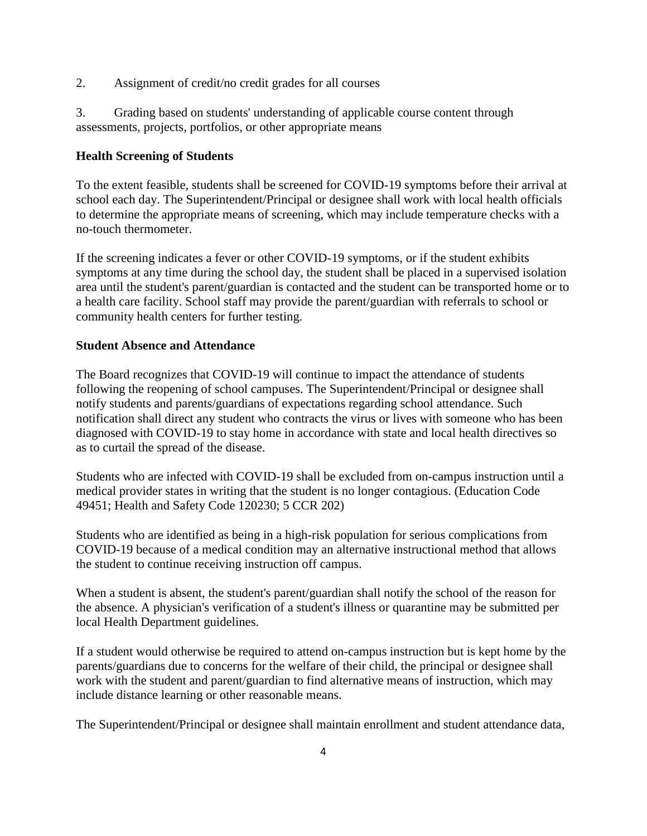2. Assignment of credit/no credit grades for all courses

3. Grading based on students' understanding of applicable course content through assessments, projects, portfolios, or other appropriate means

# **Health Screening of Students**

To the extent feasible, students shall be screened for COVID-19 symptoms before their arrival at school each day. The Superintendent/Principal or designee shall work with local health officials to determine the appropriate means of screening, which may include temperature checks with a no-touch thermometer.

If the screening indicates a fever or other COVID-19 symptoms, or if the student exhibits symptoms at any time during the school day, the student shall be placed in a supervised isolation area until the student's parent/guardian is contacted and the student can be transported home or to a health care facility. School staff may provide the parent/guardian with referrals to school or community health centers for further testing.

# **Student Absence and Attendance**

The Board recognizes that COVID-19 will continue to impact the attendance of students following the reopening of school campuses. The Superintendent/Principal or designee shall notify students and parents/guardians of expectations regarding school attendance. Such notification shall direct any student who contracts the virus or lives with someone who has been diagnosed with COVID-19 to stay home in accordance with state and local health directives so as to curtail the spread of the disease.

Students who are infected with COVID-19 shall be excluded from on-campus instruction until a medical provider states in writing that the student is no longer contagious. (Education Code 49451; Health and Safety Code 120230; 5 CCR 202)

Students who are identified as being in a high-risk population for serious complications from COVID-19 because of a medical condition may an alternative instructional method that allows the student to continue receiving instruction off campus.

When a student is absent, the student's parent/guardian shall notify the school of the reason for the absence. A physician's verification of a student's illness or quarantine may be submitted per local Health Department guidelines.

If a student would otherwise be required to attend on-campus instruction but is kept home by the parents/guardians due to concerns for the welfare of their child, the principal or designee shall work with the student and parent/guardian to find alternative means of instruction, which may include distance learning or other reasonable means.

The Superintendent/Principal or designee shall maintain enrollment and student attendance data,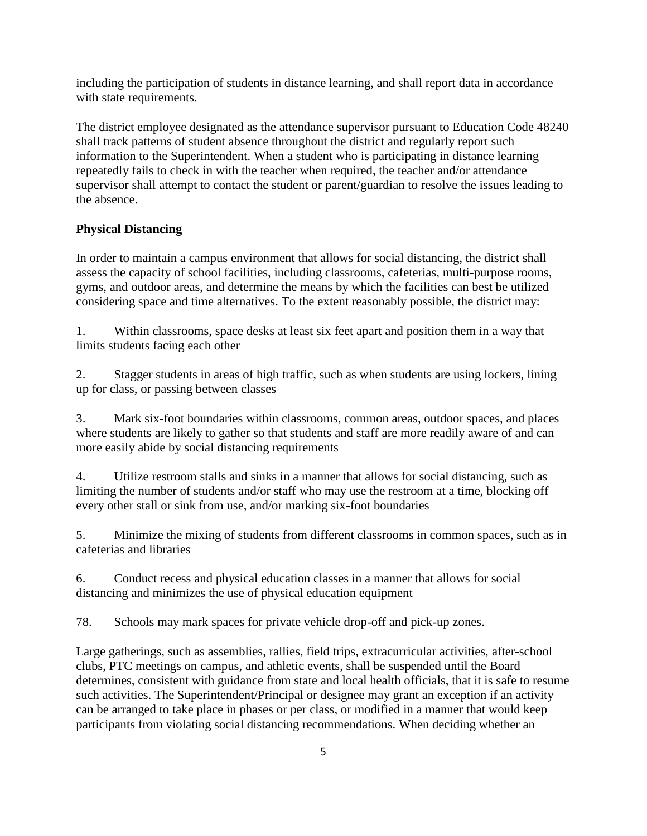including the participation of students in distance learning, and shall report data in accordance with state requirements.

The district employee designated as the attendance supervisor pursuant to Education Code 48240 shall track patterns of student absence throughout the district and regularly report such information to the Superintendent. When a student who is participating in distance learning repeatedly fails to check in with the teacher when required, the teacher and/or attendance supervisor shall attempt to contact the student or parent/guardian to resolve the issues leading to the absence.

# **Physical Distancing**

In order to maintain a campus environment that allows for social distancing, the district shall assess the capacity of school facilities, including classrooms, cafeterias, multi-purpose rooms, gyms, and outdoor areas, and determine the means by which the facilities can best be utilized considering space and time alternatives. To the extent reasonably possible, the district may:

1. Within classrooms, space desks at least six feet apart and position them in a way that limits students facing each other

2. Stagger students in areas of high traffic, such as when students are using lockers, lining up for class, or passing between classes

3. Mark six-foot boundaries within classrooms, common areas, outdoor spaces, and places where students are likely to gather so that students and staff are more readily aware of and can more easily abide by social distancing requirements

4. Utilize restroom stalls and sinks in a manner that allows for social distancing, such as limiting the number of students and/or staff who may use the restroom at a time, blocking off every other stall or sink from use, and/or marking six-foot boundaries

5. Minimize the mixing of students from different classrooms in common spaces, such as in cafeterias and libraries

6. Conduct recess and physical education classes in a manner that allows for social distancing and minimizes the use of physical education equipment

78. Schools may mark spaces for private vehicle drop-off and pick-up zones.

Large gatherings, such as assemblies, rallies, field trips, extracurricular activities, after-school clubs, PTC meetings on campus, and athletic events, shall be suspended until the Board determines, consistent with guidance from state and local health officials, that it is safe to resume such activities. The Superintendent/Principal or designee may grant an exception if an activity can be arranged to take place in phases or per class, or modified in a manner that would keep participants from violating social distancing recommendations. When deciding whether an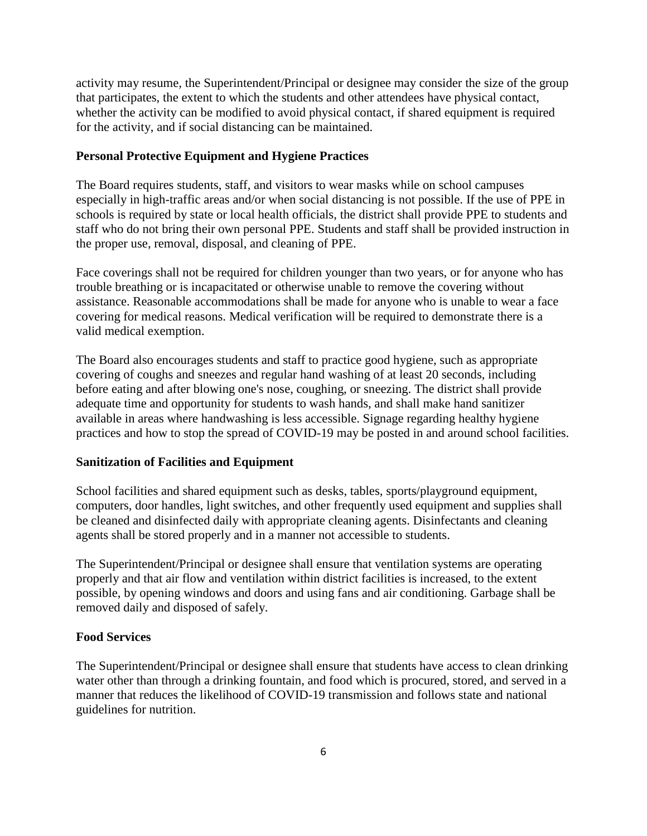activity may resume, the Superintendent/Principal or designee may consider the size of the group that participates, the extent to which the students and other attendees have physical contact, whether the activity can be modified to avoid physical contact, if shared equipment is required for the activity, and if social distancing can be maintained.

#### **Personal Protective Equipment and Hygiene Practices**

The Board requires students, staff, and visitors to wear masks while on school campuses especially in high-traffic areas and/or when social distancing is not possible. If the use of PPE in schools is required by state or local health officials, the district shall provide PPE to students and staff who do not bring their own personal PPE. Students and staff shall be provided instruction in the proper use, removal, disposal, and cleaning of PPE.

Face coverings shall not be required for children younger than two years, or for anyone who has trouble breathing or is incapacitated or otherwise unable to remove the covering without assistance. Reasonable accommodations shall be made for anyone who is unable to wear a face covering for medical reasons. Medical verification will be required to demonstrate there is a valid medical exemption.

The Board also encourages students and staff to practice good hygiene, such as appropriate covering of coughs and sneezes and regular hand washing of at least 20 seconds, including before eating and after blowing one's nose, coughing, or sneezing. The district shall provide adequate time and opportunity for students to wash hands, and shall make hand sanitizer available in areas where handwashing is less accessible. Signage regarding healthy hygiene practices and how to stop the spread of COVID-19 may be posted in and around school facilities.

#### **Sanitization of Facilities and Equipment**

School facilities and shared equipment such as desks, tables, sports/playground equipment, computers, door handles, light switches, and other frequently used equipment and supplies shall be cleaned and disinfected daily with appropriate cleaning agents. Disinfectants and cleaning agents shall be stored properly and in a manner not accessible to students.

The Superintendent/Principal or designee shall ensure that ventilation systems are operating properly and that air flow and ventilation within district facilities is increased, to the extent possible, by opening windows and doors and using fans and air conditioning. Garbage shall be removed daily and disposed of safely.

#### **Food Services**

The Superintendent/Principal or designee shall ensure that students have access to clean drinking water other than through a drinking fountain, and food which is procured, stored, and served in a manner that reduces the likelihood of COVID-19 transmission and follows state and national guidelines for nutrition.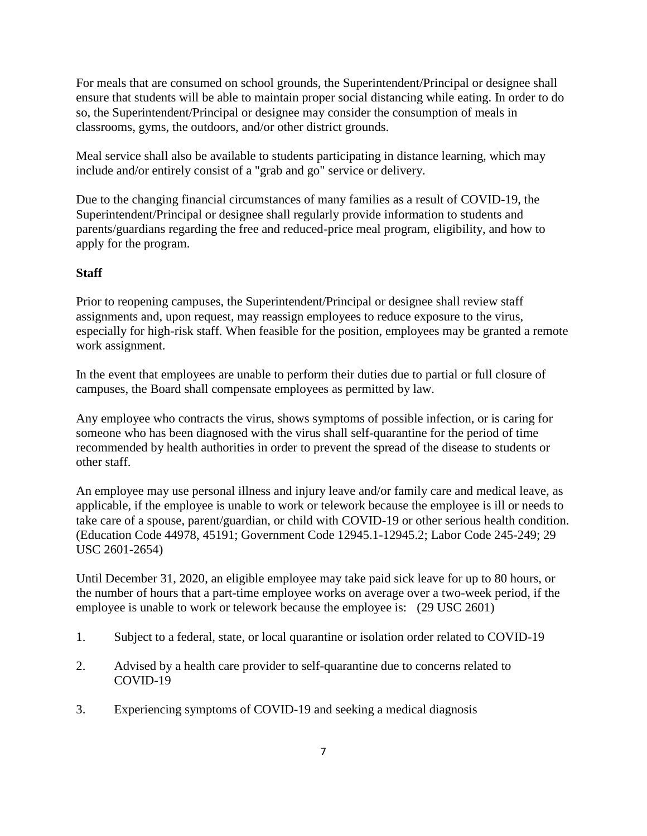For meals that are consumed on school grounds, the Superintendent/Principal or designee shall ensure that students will be able to maintain proper social distancing while eating. In order to do so, the Superintendent/Principal or designee may consider the consumption of meals in classrooms, gyms, the outdoors, and/or other district grounds.

Meal service shall also be available to students participating in distance learning, which may include and/or entirely consist of a "grab and go" service or delivery.

Due to the changing financial circumstances of many families as a result of COVID-19, the Superintendent/Principal or designee shall regularly provide information to students and parents/guardians regarding the free and reduced-price meal program, eligibility, and how to apply for the program.

# **Staff**

Prior to reopening campuses, the Superintendent/Principal or designee shall review staff assignments and, upon request, may reassign employees to reduce exposure to the virus, especially for high-risk staff. When feasible for the position, employees may be granted a remote work assignment.

In the event that employees are unable to perform their duties due to partial or full closure of campuses, the Board shall compensate employees as permitted by law.

Any employee who contracts the virus, shows symptoms of possible infection, or is caring for someone who has been diagnosed with the virus shall self-quarantine for the period of time recommended by health authorities in order to prevent the spread of the disease to students or other staff.

An employee may use personal illness and injury leave and/or family care and medical leave, as applicable, if the employee is unable to work or telework because the employee is ill or needs to take care of a spouse, parent/guardian, or child with COVID-19 or other serious health condition. (Education Code 44978, 45191; Government Code 12945.1-12945.2; Labor Code 245-249; 29 USC 2601-2654)

Until December 31, 2020, an eligible employee may take paid sick leave for up to 80 hours, or the number of hours that a part-time employee works on average over a two-week period, if the employee is unable to work or telework because the employee is: (29 USC 2601)

- 1. Subject to a federal, state, or local quarantine or isolation order related to COVID-19
- 2. Advised by a health care provider to self-quarantine due to concerns related to COVID-19
- 3. Experiencing symptoms of COVID-19 and seeking a medical diagnosis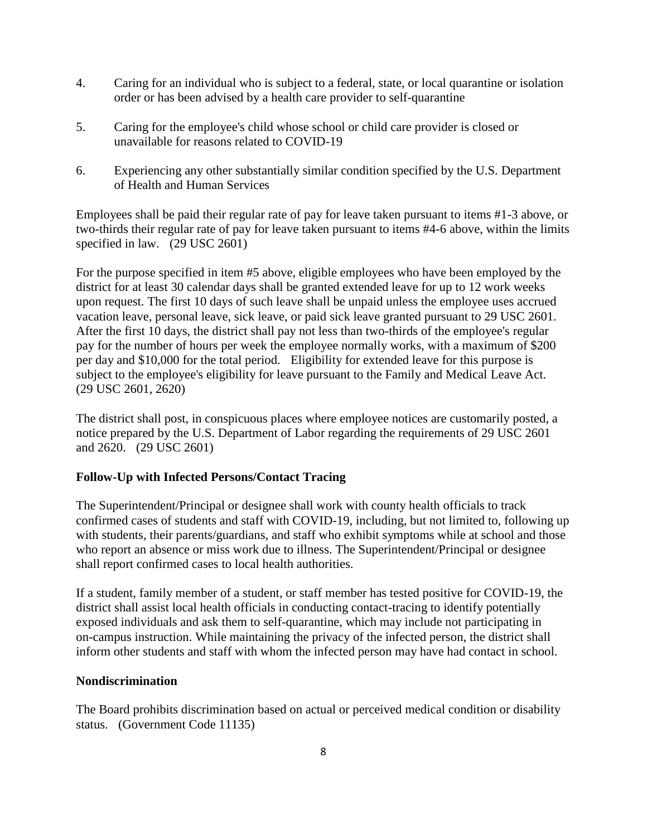- 4. Caring for an individual who is subject to a federal, state, or local quarantine or isolation order or has been advised by a health care provider to self-quarantine
- 5. Caring for the employee's child whose school or child care provider is closed or unavailable for reasons related to COVID-19
- 6. Experiencing any other substantially similar condition specified by the U.S. Department of Health and Human Services

Employees shall be paid their regular rate of pay for leave taken pursuant to items #1-3 above, or two-thirds their regular rate of pay for leave taken pursuant to items #4-6 above, within the limits specified in law. (29 USC 2601)

For the purpose specified in item #5 above, eligible employees who have been employed by the district for at least 30 calendar days shall be granted extended leave for up to 12 work weeks upon request. The first 10 days of such leave shall be unpaid unless the employee uses accrued vacation leave, personal leave, sick leave, or paid sick leave granted pursuant to 29 USC 2601. After the first 10 days, the district shall pay not less than two-thirds of the employee's regular pay for the number of hours per week the employee normally works, with a maximum of \$200 per day and \$10,000 for the total period. Eligibility for extended leave for this purpose is subject to the employee's eligibility for leave pursuant to the Family and Medical Leave Act. (29 USC 2601, 2620)

The district shall post, in conspicuous places where employee notices are customarily posted, a notice prepared by the U.S. Department of Labor regarding the requirements of 29 USC 2601 and 2620. (29 USC 2601)

# **Follow-Up with Infected Persons/Contact Tracing**

The Superintendent/Principal or designee shall work with county health officials to track confirmed cases of students and staff with COVID-19, including, but not limited to, following up with students, their parents/guardians, and staff who exhibit symptoms while at school and those who report an absence or miss work due to illness. The Superintendent/Principal or designee shall report confirmed cases to local health authorities.

If a student, family member of a student, or staff member has tested positive for COVID-19, the district shall assist local health officials in conducting contact-tracing to identify potentially exposed individuals and ask them to self-quarantine, which may include not participating in on-campus instruction. While maintaining the privacy of the infected person, the district shall inform other students and staff with whom the infected person may have had contact in school.

# **Nondiscrimination**

The Board prohibits discrimination based on actual or perceived medical condition or disability status. (Government Code 11135)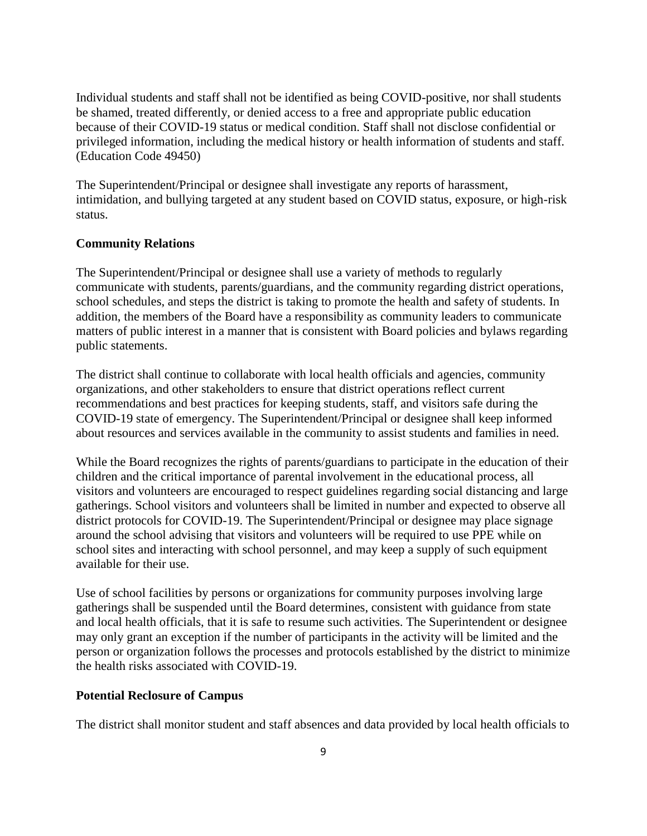Individual students and staff shall not be identified as being COVID-positive, nor shall students be shamed, treated differently, or denied access to a free and appropriate public education because of their COVID-19 status or medical condition. Staff shall not disclose confidential or privileged information, including the medical history or health information of students and staff. (Education Code 49450)

The Superintendent/Principal or designee shall investigate any reports of harassment, intimidation, and bullying targeted at any student based on COVID status, exposure, or high-risk status.

#### **Community Relations**

The Superintendent/Principal or designee shall use a variety of methods to regularly communicate with students, parents/guardians, and the community regarding district operations, school schedules, and steps the district is taking to promote the health and safety of students. In addition, the members of the Board have a responsibility as community leaders to communicate matters of public interest in a manner that is consistent with Board policies and bylaws regarding public statements.

The district shall continue to collaborate with local health officials and agencies, community organizations, and other stakeholders to ensure that district operations reflect current recommendations and best practices for keeping students, staff, and visitors safe during the COVID-19 state of emergency. The Superintendent/Principal or designee shall keep informed about resources and services available in the community to assist students and families in need.

While the Board recognizes the rights of parents/guardians to participate in the education of their children and the critical importance of parental involvement in the educational process, all visitors and volunteers are encouraged to respect guidelines regarding social distancing and large gatherings. School visitors and volunteers shall be limited in number and expected to observe all district protocols for COVID-19. The Superintendent/Principal or designee may place signage around the school advising that visitors and volunteers will be required to use PPE while on school sites and interacting with school personnel, and may keep a supply of such equipment available for their use.

Use of school facilities by persons or organizations for community purposes involving large gatherings shall be suspended until the Board determines, consistent with guidance from state and local health officials, that it is safe to resume such activities. The Superintendent or designee may only grant an exception if the number of participants in the activity will be limited and the person or organization follows the processes and protocols established by the district to minimize the health risks associated with COVID-19.

#### **Potential Reclosure of Campus**

The district shall monitor student and staff absences and data provided by local health officials to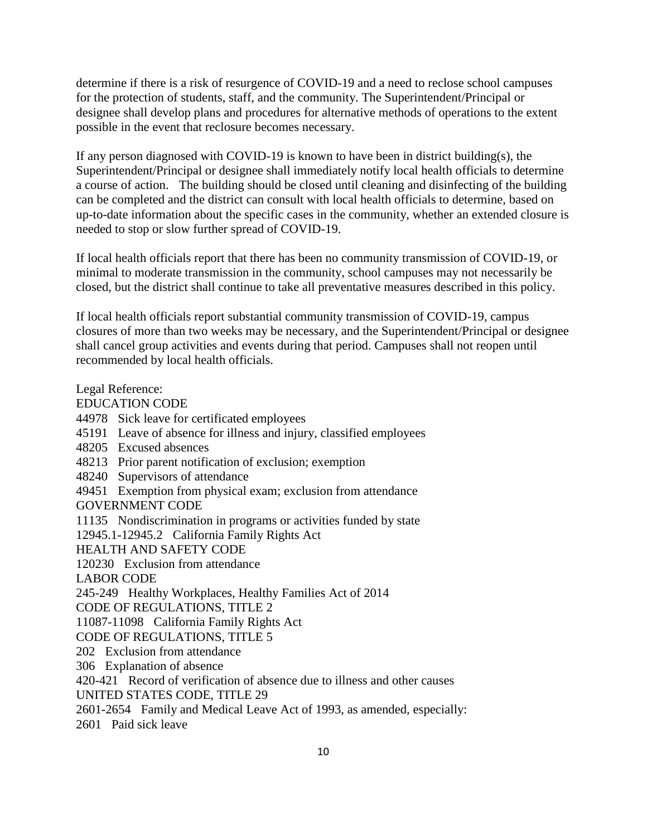determine if there is a risk of resurgence of COVID-19 and a need to reclose school campuses for the protection of students, staff, and the community. The Superintendent/Principal or designee shall develop plans and procedures for alternative methods of operations to the extent possible in the event that reclosure becomes necessary.

If any person diagnosed with COVID-19 is known to have been in district building(s), the Superintendent/Principal or designee shall immediately notify local health officials to determine a course of action. The building should be closed until cleaning and disinfecting of the building can be completed and the district can consult with local health officials to determine, based on up-to-date information about the specific cases in the community, whether an extended closure is needed to stop or slow further spread of COVID-19.

If local health officials report that there has been no community transmission of COVID-19, or minimal to moderate transmission in the community, school campuses may not necessarily be closed, but the district shall continue to take all preventative measures described in this policy.

If local health officials report substantial community transmission of COVID-19, campus closures of more than two weeks may be necessary, and the Superintendent/Principal or designee shall cancel group activities and events during that period. Campuses shall not reopen until recommended by local health officials.

Legal Reference: EDUCATION CODE 44978 Sick leave for certificated employees 45191 Leave of absence for illness and injury, classified employees 48205 Excused absences 48213 Prior parent notification of exclusion; exemption 48240 Supervisors of attendance 49451 Exemption from physical exam; exclusion from attendance GOVERNMENT CODE 11135 Nondiscrimination in programs or activities funded by state 12945.1-12945.2 California Family Rights Act HEALTH AND SAFETY CODE 120230 Exclusion from attendance LABOR CODE 245-249 Healthy Workplaces, Healthy Families Act of 2014 CODE OF REGULATIONS, TITLE 2 11087-11098 California Family Rights Act CODE OF REGULATIONS, TITLE 5 202 Exclusion from attendance 306 Explanation of absence 420-421 Record of verification of absence due to illness and other causes UNITED STATES CODE, TITLE 29 2601-2654 Family and Medical Leave Act of 1993, as amended, especially: 2601 Paid sick leave